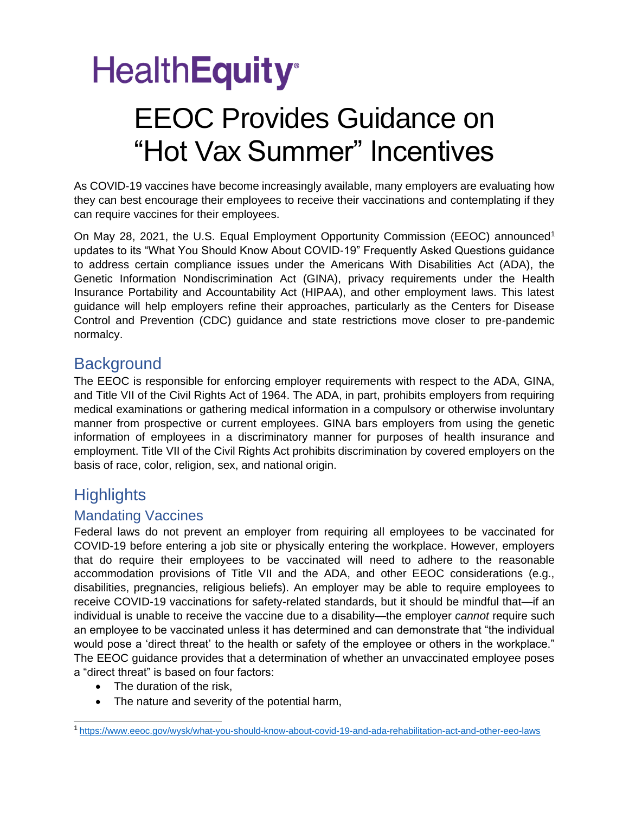# **HealthEquity®**

### EEOC Provides Guidance on "Hot Vax Summer" Incentives

As COVID-19 vaccines have become increasingly available, many employers are evaluating how they can best encourage their employees to receive their vaccinations and contemplating if they can require vaccines for their employees.

On May 28, 2021, the U.S. Equal Employment Opportunity Commission (EEOC) announced<sup>1</sup> updates to its "What You Should Know About COVID-19" Frequently Asked Questions guidance to address certain compliance issues under the Americans With Disabilities Act (ADA), the Genetic Information Nondiscrimination Act (GINA), privacy requirements under the Health Insurance Portability and Accountability Act (HIPAA), and other employment laws. This latest guidance will help employers refine their approaches, particularly as the Centers for Disease Control and Prevention (CDC) guidance and state restrictions move closer to pre-pandemic normalcy.

### **Background**

The EEOC is responsible for enforcing employer requirements with respect to the ADA, GINA, and Title VII of the Civil Rights Act of 1964. The ADA, in part, prohibits employers from requiring medical examinations or gathering medical information in a compulsory or otherwise involuntary manner from prospective or current employees. GINA bars employers from using the genetic information of employees in a discriminatory manner for purposes of health insurance and employment. Title VII of the Civil Rights Act prohibits discrimination by covered employers on the basis of race, color, religion, sex, and national origin.

### **Highlights**

#### Mandating Vaccines

Federal laws do not prevent an employer from requiring all employees to be vaccinated for COVID-19 before entering a job site or physically entering the workplace. However, employers that do require their employees to be vaccinated will need to adhere to the reasonable accommodation provisions of Title VII and the ADA, and other EEOC considerations (e.g., disabilities, pregnancies, religious beliefs). An employer may be able to require employees to receive COVID-19 vaccinations for safety-related standards, but it should be mindful that—if an individual is unable to receive the vaccine due to a disability—the employer *cannot* require such an employee to be vaccinated unless it has determined and can demonstrate that "the individual would pose a 'direct threat' to the health or safety of the employee or others in the workplace." The EEOC guidance provides that a determination of whether an unvaccinated employee poses a "direct threat" is based on four factors:

- The duration of the risk,
- The nature and severity of the potential harm,

<sup>1</sup><https://www.eeoc.gov/wysk/what-you-should-know-about-covid-19-and-ada-rehabilitation-act-and-other-eeo-laws>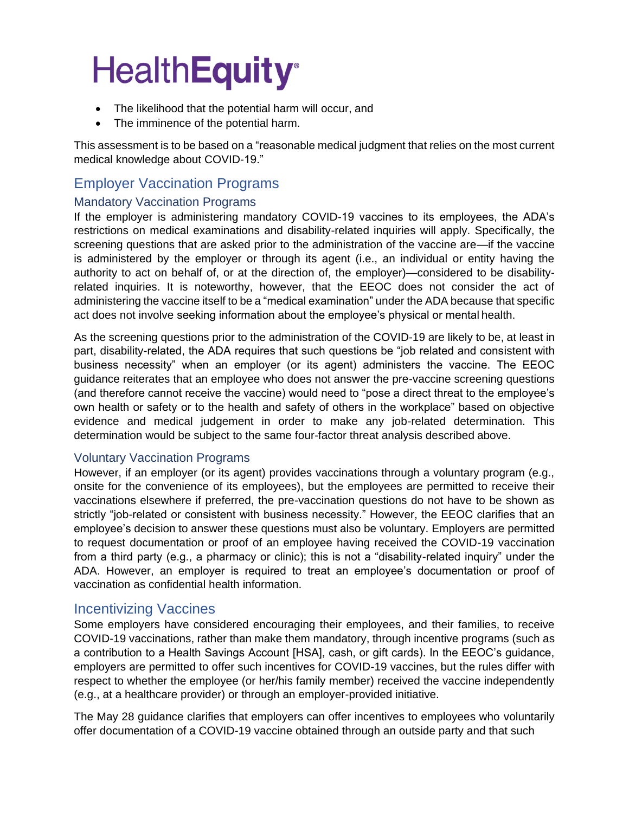# **HealthEquity®**

- The likelihood that the potential harm will occur, and
- The imminence of the potential harm.

This assessment is to be based on a "reasonable medical judgment that relies on the most current medical knowledge about COVID-19."

#### Employer Vaccination Programs

#### Mandatory Vaccination Programs

If the employer is administering mandatory COVID-19 vaccines to its employees, the ADA's restrictions on medical examinations and disability-related inquiries will apply. Specifically, the screening questions that are asked prior to the administration of the vaccine are—if the vaccine is administered by the employer or through its agent (i.e., an individual or entity having the authority to act on behalf of, or at the direction of, the employer)—considered to be disabilityrelated inquiries. It is noteworthy, however, that the EEOC does not consider the act of administering the vaccine itself to be a "medical examination" under the ADA because that specific act does not involve seeking information about the employee's physical or mental health.

As the screening questions prior to the administration of the COVID-19 are likely to be, at least in part, disability-related, the ADA requires that such questions be "job related and consistent with business necessity" when an employer (or its agent) administers the vaccine. The EEOC guidance reiterates that an employee who does not answer the pre-vaccine screening questions (and therefore cannot receive the vaccine) would need to "pose a direct threat to the employee's own health or safety or to the health and safety of others in the workplace" based on objective evidence and medical judgement in order to make any job-related determination. This determination would be subject to the same four-factor threat analysis described above.

#### Voluntary Vaccination Programs

However, if an employer (or its agent) provides vaccinations through a voluntary program (e.g., onsite for the convenience of its employees), but the employees are permitted to receive their vaccinations elsewhere if preferred, the pre-vaccination questions do not have to be shown as strictly "job-related or consistent with business necessity." However, the EEOC clarifies that an employee's decision to answer these questions must also be voluntary. Employers are permitted to request documentation or proof of an employee having received the COVID-19 vaccination from a third party (e.g., a pharmacy or clinic); this is not a "disability-related inquiry" under the ADA. However, an employer is required to treat an employee's documentation or proof of vaccination as confidential health information.

#### Incentivizing Vaccines

Some employers have considered encouraging their employees, and their families, to receive COVID-19 vaccinations, rather than make them mandatory, through incentive programs (such as a contribution to a Health Savings Account [HSA], cash, or gift cards). In the EEOC's guidance, employers are permitted to offer such incentives for COVID-19 vaccines, but the rules differ with respect to whether the employee (or her/his family member) received the vaccine independently (e.g., at a healthcare provider) or through an employer-provided initiative.

The May 28 guidance clarifies that employers can offer incentives to employees who voluntarily offer documentation of a COVID-19 vaccine obtained through an outside party and that such